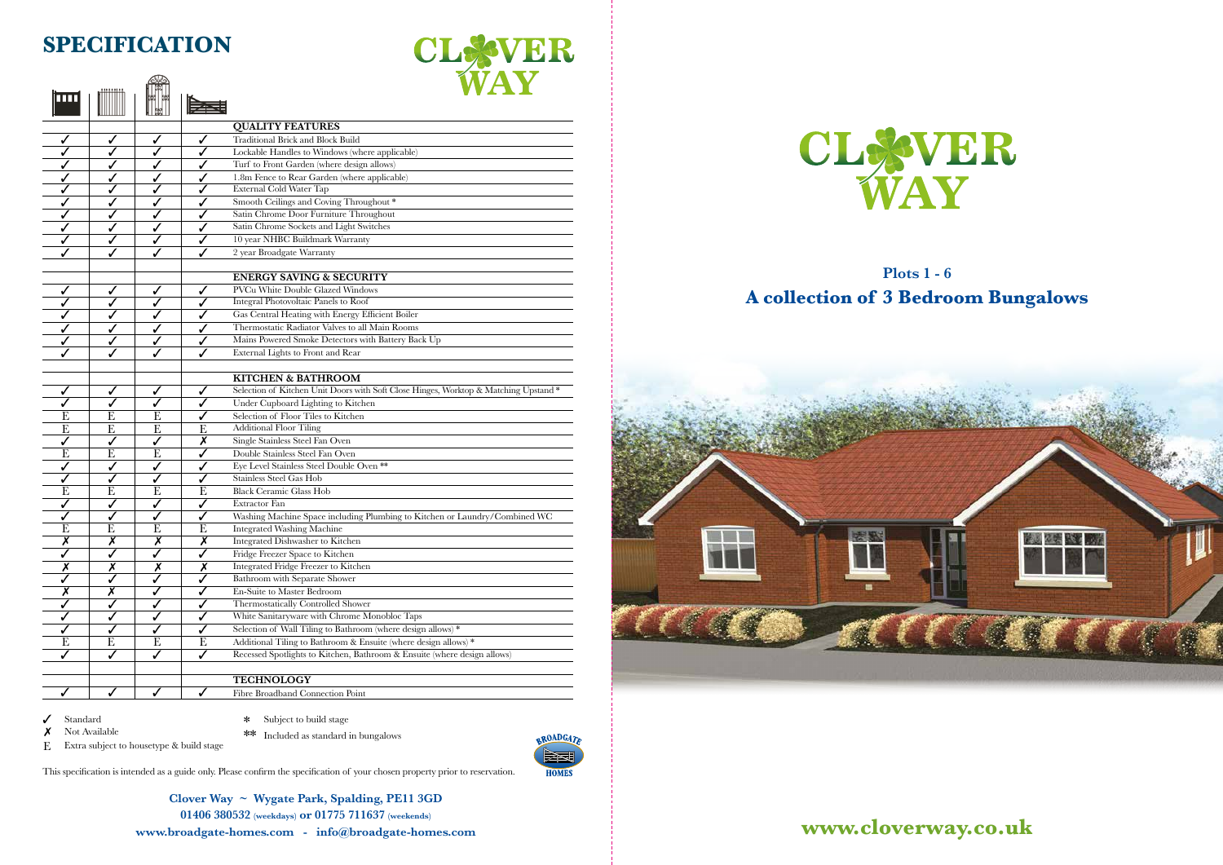## **Plots 1 - 6 A collection of 3 Bedroom Bungalows**







## THUR THE **SPECIFICATION**

⋒⋒



**Clover Way ~ Wygate Park, Spalding, PE11 3GD 01406 380532 (weekdays) or 01775 711637 (weekends) www.broadgate-homes.com - info@broadgate-homes.com**



 $\checkmark$ Standard

 $\boldsymbol{\mathsf{x}}$ 

|                         |                         |                         |                         | <b>QUALITY FEATURES</b>                                                              |
|-------------------------|-------------------------|-------------------------|-------------------------|--------------------------------------------------------------------------------------|
|                         | ✓                       | ✓                       | ✓                       | Traditional Brick and Block Build                                                    |
|                         | $\checkmark$            | ✓                       | ✓                       | Lockable Handles to Windows (where applicable)                                       |
|                         | $\checkmark$            | ✓                       | ✓                       | Turf to Front Garden (where design allows)                                           |
|                         | $\checkmark$            | ✓                       | ✓                       | 1.8m Fence to Rear Garden (where applicable)                                         |
|                         | ✓                       | ✓                       | ✓                       | External Cold Water Tap                                                              |
|                         | ✓                       | ✓                       |                         | Smooth Ceilings and Coving Throughout*                                               |
|                         | ✓                       | J                       |                         | Satin Chrome Door Furniture Throughout                                               |
|                         |                         |                         | ✓                       | Satin Chrome Sockets and Light Switches                                              |
|                         |                         |                         | ✓                       | 10 year NHBC Buildmark Warranty                                                      |
|                         |                         | ✓                       | ✓                       | 2 year Broadgate Warranty                                                            |
|                         |                         |                         |                         |                                                                                      |
|                         |                         |                         |                         | <b>ENERGY SAVING &amp; SECURITY</b>                                                  |
|                         | $\checkmark$            | ✓                       | ✓                       | PVCu White Double Glazed Windows                                                     |
|                         |                         |                         | ✓                       | <b>Integral Photovoltaic Panels to Roof</b>                                          |
|                         | $\checkmark$            | ✓                       | ✓                       | Gas Central Heating with Energy Efficient Boiler                                     |
|                         | $\checkmark$            |                         | ✓                       | Thermostatic Radiator Valves to all Main Rooms                                       |
|                         | ✓                       | ✓                       | ✓                       | Mains Powered Smoke Detectors with Battery Back Up                                   |
|                         | ✓                       | ✓                       | ✓                       | External Lights to Front and Rear                                                    |
|                         |                         |                         |                         |                                                                                      |
|                         |                         |                         |                         | <b>KITCHEN &amp; BATHROOM</b>                                                        |
|                         | $\checkmark$            | ✓                       | ✓                       | Selection of Kitchen Unit Doors with Soft Close Hinges, Worktop & Matching Upstand * |
|                         | $\checkmark$            | ✓                       | ✓                       | Under Cupboard Lighting to Kitchen                                                   |
| E                       | E                       | E                       | ✓                       | Selection of Floor Tiles to Kitchen                                                  |
| E                       | E                       | E                       | Ε                       | <b>Additional Floor Tiling</b>                                                       |
|                         | ✓                       | ✓                       | X                       | Single Stainless Steel Fan Oven                                                      |
| E                       | E                       | E                       |                         | Double Stainless Steel Fan Oven                                                      |
| J                       | ✓                       | ✓                       |                         | Eye Level Stainless Steel Double Oven **                                             |
|                         | ✓                       | ✓                       |                         | Stainless Steel Gas Hob                                                              |
| E                       | E                       | E                       | E                       | <b>Black Ceramic Glass Hob</b>                                                       |
|                         | ✓                       | ✓                       | ✓                       | Extractor Fan                                                                        |
|                         | ✓                       | ✓                       |                         | Washing Machine Space including Plumbing to Kitchen or Laundry/Combined WC           |
| E                       | $\overline{\mathrm{E}}$ | E                       | E                       | <b>Integrated Washing Machine</b>                                                    |
| $\overline{\textsf{x}}$ | $\overline{\textsf{x}}$ | $\overline{\textsf{x}}$ | $\overline{\textsf{x}}$ | Integrated Dishwasher to Kitchen                                                     |
|                         | $\overline{\sqrt{2}}$   | $\overline{\checkmark}$ | $\overline{\sqrt{2}}$   | Fridge Freezer Space to Kitchen                                                      |
| ✔                       |                         |                         | Х                       | Integrated Fridge Freezer to Kitchen                                                 |
|                         | Х                       | Х                       | ✓                       | Bathroom with Separate Shower                                                        |
|                         | Х                       |                         |                         | En-Suite to Master Bedroom                                                           |
|                         |                         | ✓                       |                         | Thermostatically Controlled Shower                                                   |
|                         |                         |                         |                         | White Sanitaryware with Chrome Monobloc Taps                                         |
|                         |                         | $\checkmark$            |                         | Selection of Wall Tiling to Bathroom (where design allows) *                         |
|                         | ✓                       | ✓                       | ✓                       | Additional Tiling to Bathroom $\&$ Ensuite (where design allows) $*$                 |
| Е                       | E                       | E                       | E                       |                                                                                      |
|                         | $\checkmark$            | ✓                       | ✓                       | Recessed Spotlights to Kitchen, Bathroom & Ensuite (where design allows)             |
|                         |                         |                         |                         | <b>TECHNOLOGY</b>                                                                    |
|                         | $\checkmark$            | ✓                       | $\checkmark$            | Fibre Broadband Connection Point                                                     |

This specification is intended as a guide only. Please confirm the specification of your chosen property prior to reservation.

- \* Subject to build stage
- Not Available  $**$  Included as standard in bungalows E Extra subject to housetype & build stage

**BROADGATE HOMES**